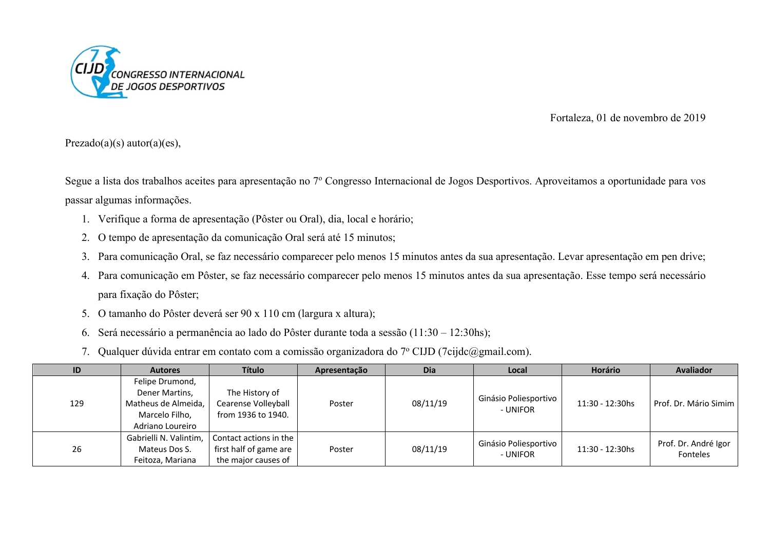

## Fortaleza, 01 de novembro de 2019

 $Prezado(a)(s) autor(a)(es),$ 

Segue a lista dos trabalhos aceites para apresentação no 7º Congresso Internacional de Jogos Desportivos. Aproveitamos a oportunidade para vos passar algumas informações.

- 1. Verifique a forma de apresentação (Pôster ou Oral), dia, local e horário;
- 2. O tempo de apresentação da comunicação Oral será até 15 minutos;
- 3. Para comunicação Oral, se faz necessário comparecer pelo menos 15 minutos antes da sua apresentação. Levar apresentação em pen drive;
- 4. Para comunicação em Pôster, se faz necessário comparecer pelo menos 15 minutos antes da sua apresentação. Esse tempo será necessário para fixação do Pôster;
- 5. O tamanho do Pôster deverá ser 90 x 110 cm (largura x altura);
- 6. Será necessário a permanência ao lado do Pôster durante toda a sessão (11:30 12:30hs);
- 7. Qualquer dúvida entrar em contato com a comissão organizadora do 7º CIJD (7cijdc@gmail.com).

| ID  | <b>Autores</b>                                                                                 | <b>Título</b>                                                           | Apresentação | Dia      | Local                             | Horário            | <b>Avaliador</b>                 |
|-----|------------------------------------------------------------------------------------------------|-------------------------------------------------------------------------|--------------|----------|-----------------------------------|--------------------|----------------------------------|
| 129 | Felipe Drumond,<br>Dener Martins,<br>Matheus de Almeida,<br>Marcelo Filho,<br>Adriano Loureiro | The History of<br>Cearense Volleyball<br>from 1936 to 1940.             | Poster       | 08/11/19 | Ginásio Poliesportivo<br>- UNIFOR | $11:30 - 12:30$ hs | Prof. Dr. Mário Simim            |
| 26  | Gabrielli N. Valintim,<br>Mateus Dos S.<br>Feitoza, Mariana                                    | Contact actions in the<br>first half of game are<br>the major causes of | Poster       | 08/11/19 | Ginásio Poliesportivo<br>- UNIFOR | 11:30 - 12:30hs    | Prof. Dr. André Igor<br>Fonteles |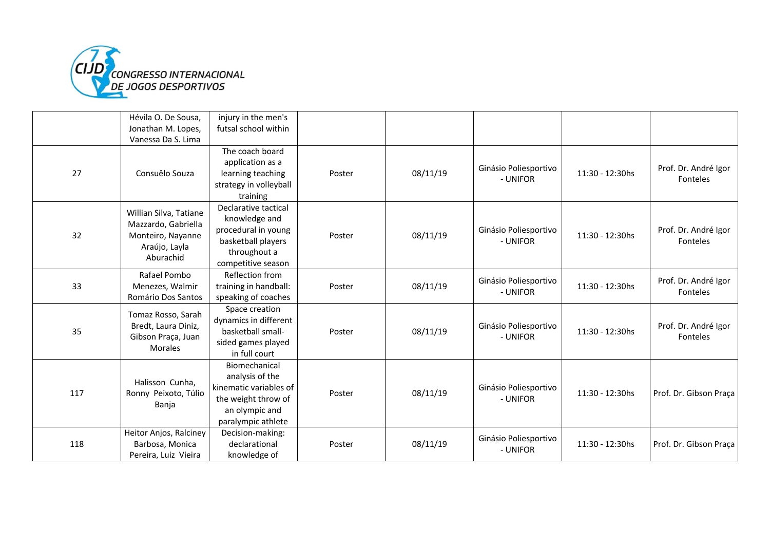

|     | Hévila O. De Sousa,                      | injury in the men's    |        |          |                                   |                 |                                  |
|-----|------------------------------------------|------------------------|--------|----------|-----------------------------------|-----------------|----------------------------------|
|     | Jonathan M. Lopes,                       | futsal school within   |        |          |                                   |                 |                                  |
|     | Vanessa Da S. Lima                       |                        |        |          |                                   |                 |                                  |
|     |                                          | The coach board        |        |          |                                   |                 |                                  |
|     |                                          | application as a       |        |          |                                   |                 |                                  |
| 27  | Consuêlo Souza                           | learning teaching      | Poster | 08/11/19 | Ginásio Poliesportivo<br>- UNIFOR | 11:30 - 12:30hs | Prof. Dr. André Igor<br>Fonteles |
|     |                                          | strategy in volleyball |        |          |                                   |                 |                                  |
|     |                                          | training               |        |          |                                   |                 |                                  |
|     |                                          | Declarative tactical   |        |          |                                   |                 |                                  |
|     | Willian Silva, Tatiane                   | knowledge and          |        |          |                                   |                 |                                  |
| 32  | Mazzardo, Gabriella<br>Monteiro, Nayanne | procedural in young    | Poster | 08/11/19 | Ginásio Poliesportivo             | 11:30 - 12:30hs | Prof. Dr. André Igor             |
|     |                                          | basketball players     |        |          | - UNIFOR                          |                 | Fonteles                         |
|     | Araújo, Layla<br>Aburachid               | throughout a           |        |          |                                   |                 |                                  |
|     |                                          | competitive season     |        |          |                                   |                 |                                  |
|     | Rafael Pombo                             | Reflection from        |        |          | Ginásio Poliesportivo             |                 | Prof. Dr. André Igor             |
| 33  | Menezes, Walmir                          | training in handball:  | Poster | 08/11/19 | - UNIFOR                          | 11:30 - 12:30hs | Fonteles                         |
|     | Romário Dos Santos                       | speaking of coaches    |        |          |                                   |                 |                                  |
|     | Tomaz Rosso, Sarah                       | Space creation         |        |          |                                   |                 |                                  |
|     | Bredt, Laura Diniz,                      | dynamics in different  |        | 08/11/19 | Ginásio Poliesportivo             |                 | Prof. Dr. André Igor             |
| 35  | Gibson Praça, Juan                       | basketball small-      | Poster |          | - UNIFOR                          | 11:30 - 12:30hs | Fonteles                         |
|     | <b>Morales</b>                           | sided games played     |        |          |                                   |                 |                                  |
|     |                                          | in full court          |        |          |                                   |                 |                                  |
|     |                                          | Biomechanical          |        |          |                                   |                 |                                  |
|     | Halisson Cunha,                          | analysis of the        |        |          |                                   |                 |                                  |
|     | Ronny Peixoto, Túlio                     | kinematic variables of | Poster | 08/11/19 | Ginásio Poliesportivo             | 11:30 - 12:30hs | Prof. Dr. Gibson Praça           |
| 117 | Banja                                    | the weight throw of    |        |          | - UNIFOR                          |                 |                                  |
|     |                                          | an olympic and         |        |          |                                   |                 |                                  |
|     |                                          | paralympic athlete     |        |          |                                   |                 |                                  |
|     | Heitor Anjos, Ralciney                   | Decision-making:       |        |          | Ginásio Poliesportivo             |                 |                                  |
| 118 | Barbosa, Monica                          | declarational          | Poster | 08/11/19 | - UNIFOR                          | 11:30 - 12:30hs | Prof. Dr. Gibson Praça           |
|     | Pereira, Luiz Vieira                     | knowledge of           |        |          |                                   |                 |                                  |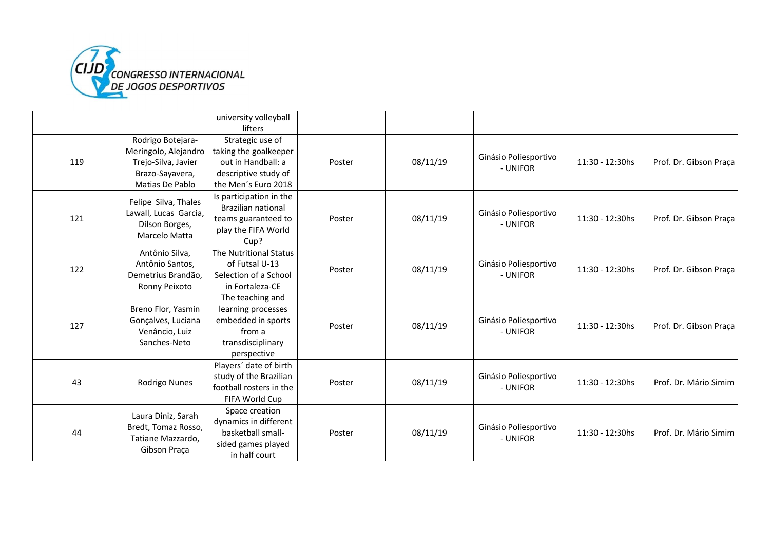

|     |                                 | university volleyball<br>lifters |        |          |                                   |                 |                        |
|-----|---------------------------------|----------------------------------|--------|----------|-----------------------------------|-----------------|------------------------|
|     | Rodrigo Botejara-               | Strategic use of                 |        |          |                                   |                 |                        |
|     | Meringolo, Alejandro            | taking the goalkeeper            |        |          |                                   |                 |                        |
| 119 | Trejo-Silva, Javier             | out in Handball: a               | Poster | 08/11/19 | Ginásio Poliesportivo             | 11:30 - 12:30hs | Prof. Dr. Gibson Praça |
|     | Brazo-Sayavera,                 | descriptive study of             |        |          | - UNIFOR                          |                 |                        |
|     | Matias De Pablo                 | the Men's Euro 2018              |        |          |                                   |                 |                        |
|     |                                 | Is participation in the          |        |          |                                   |                 |                        |
|     | Felipe Silva, Thales            | <b>Brazilian national</b>        |        |          |                                   |                 |                        |
| 121 | Lawall, Lucas Garcia,           | teams guaranteed to              | Poster | 08/11/19 | Ginásio Poliesportivo<br>- UNIFOR | 11:30 - 12:30hs | Prof. Dr. Gibson Praça |
|     | Dilson Borges,<br>Marcelo Matta | play the FIFA World              |        |          |                                   |                 |                        |
|     |                                 | Cup?                             |        |          |                                   |                 |                        |
|     | Antônio Silva,                  | The Nutritional Status           |        |          |                                   |                 |                        |
| 122 | Antônio Santos,                 | of Futsal U-13                   | Poster | 08/11/19 | Ginásio Poliesportivo             | 11:30 - 12:30hs | Prof. Dr. Gibson Praça |
|     | Demetrius Brandão,              | Selection of a School            |        |          | - UNIFOR                          |                 |                        |
|     | Ronny Peixoto                   | in Fortaleza-CE                  |        |          |                                   |                 |                        |
|     |                                 | The teaching and                 |        |          |                                   |                 |                        |
|     | Breno Flor, Yasmin              | learning processes               |        |          |                                   |                 |                        |
| 127 | Gonçalves, Luciana              | embedded in sports               | Poster | 08/11/19 | Ginásio Poliesportivo<br>- UNIFOR | 11:30 - 12:30hs | Prof. Dr. Gibson Praça |
|     | Venâncio, Luiz                  | from a                           |        |          |                                   |                 |                        |
|     | Sanches-Neto                    | transdisciplinary                |        |          |                                   |                 |                        |
|     |                                 | perspective                      |        |          |                                   |                 |                        |
|     |                                 | Players' date of birth           |        |          |                                   |                 |                        |
| 43  | Rodrigo Nunes                   | study of the Brazilian           | Poster | 08/11/19 | Ginásio Poliesportivo             | 11:30 - 12:30hs | Prof. Dr. Mário Simim  |
|     |                                 | football rosters in the          |        |          | - UNIFOR                          |                 |                        |
|     |                                 | FIFA World Cup                   |        |          |                                   |                 |                        |
|     | Laura Diniz, Sarah              | Space creation                   |        |          |                                   |                 |                        |
| 44  | Bredt, Tomaz Rosso,             | dynamics in different            |        |          | Ginásio Poliesportivo             |                 |                        |
|     | Tatiane Mazzardo,               | basketball small-                | Poster | 08/11/19 | - UNIFOR                          | 11:30 - 12:30hs | Prof. Dr. Mário Simim  |
|     | Gibson Praça                    | sided games played               |        |          |                                   |                 |                        |
|     |                                 | in half court                    |        |          |                                   |                 |                        |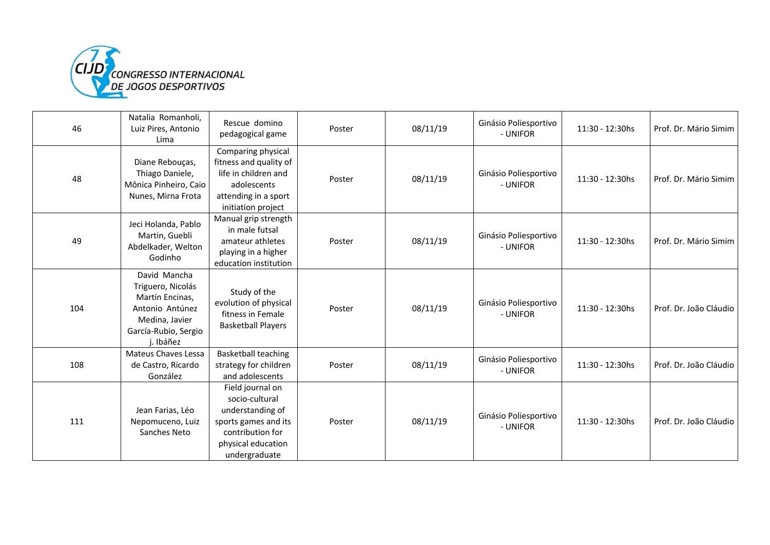

| 46  | Natalia Romanholi,<br>Luiz Pires, Antonio<br>Lima                                                                           | Rescue domino<br>pedagogical game                                                                                                         | Poster | 08/11/19 | Ginásio Poliesportivo<br>- UNIFOR | 11:30 - 12:30hs | Prof. Dr. Mário Simim  |
|-----|-----------------------------------------------------------------------------------------------------------------------------|-------------------------------------------------------------------------------------------------------------------------------------------|--------|----------|-----------------------------------|-----------------|------------------------|
| 48  | Diane Rebouças,<br>Thiago Daniele,<br>Mônica Pinheiro, Caio<br>Nunes, Mirna Frota                                           | Comparing physical<br>fitness and quality of<br>life in children and<br>adolescents<br>attending in a sport<br>initiation project         | Poster | 08/11/19 | Ginásio Poliesportivo<br>- UNIFOR | 11:30 - 12:30hs | Prof. Dr. Mário Simim  |
| 49  | Jeci Holanda, Pablo<br>Martin, Guebli<br>Abdelkader, Welton<br>Godinho                                                      | Manual grip strength<br>in male futsal<br>amateur athletes<br>playing in a higher<br>education institution                                | Poster | 08/11/19 | Ginásio Poliesportivo<br>- UNIFOR | 11:30 - 12:30hs | Prof. Dr. Mário Simim  |
| 104 | David Mancha<br>Triguero, Nicolás<br>Martín Encinas,<br>Antonio Antúnez<br>Medina, Javier<br>García-Rubio, Sergio<br>Ibáñez | Study of the<br>evolution of physical<br>fitness in Female<br><b>Basketball Players</b>                                                   | Poster | 08/11/19 | Ginásio Poliesportivo<br>- UNIFOR | 11:30 - 12:30hs | Prof. Dr. João Cláudio |
| 108 | <b>Mateus Chaves Lessa</b><br>de Castro, Ricardo<br>González                                                                | <b>Basketball teaching</b><br>strategy for children<br>and adolescents                                                                    | Poster | 08/11/19 | Ginásio Poliesportivo<br>- UNIFOR | 11:30 - 12:30hs | Prof. Dr. João Cláudio |
| 111 | Jean Farias, Léo<br>Nepomuceno, Luiz<br>Sanches Neto                                                                        | Field journal on<br>socio-cultural<br>understanding of<br>sports games and its<br>contribution for<br>physical education<br>undergraduate | Poster | 08/11/19 | Ginásio Poliesportivo<br>- UNIFOR | 11:30 - 12:30hs | Prof. Dr. João Cláudio |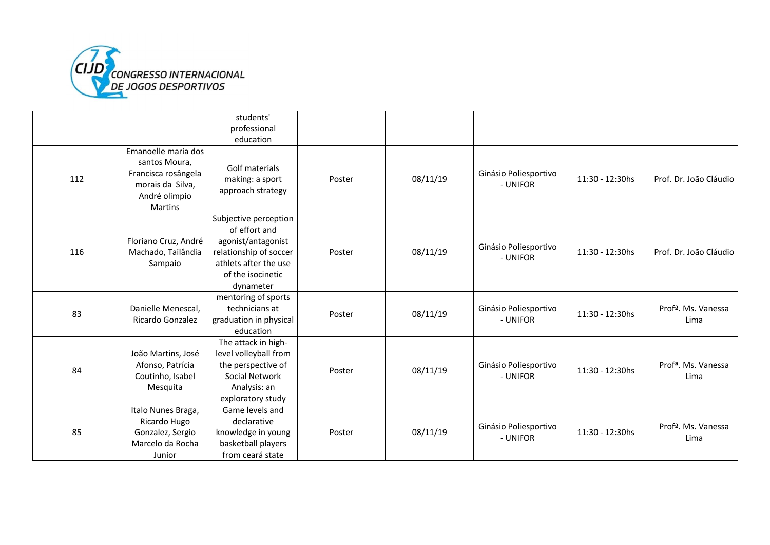

|     |                                                                                                                    | students'<br>professional<br>education                                                                                                            |        |          |                                   |                 |                                         |
|-----|--------------------------------------------------------------------------------------------------------------------|---------------------------------------------------------------------------------------------------------------------------------------------------|--------|----------|-----------------------------------|-----------------|-----------------------------------------|
| 112 | Emanoelle maria dos<br>santos Moura,<br>Francisca rosângela<br>morais da Silva,<br>André olimpio<br><b>Martins</b> | Golf materials<br>making: a sport<br>approach strategy                                                                                            | Poster | 08/11/19 | Ginásio Poliesportivo<br>- UNIFOR | 11:30 - 12:30hs | Prof. Dr. João Cláudio                  |
| 116 | Floriano Cruz, André<br>Machado, Tailândia<br>Sampaio                                                              | Subjective perception<br>of effort and<br>agonist/antagonist<br>relationship of soccer<br>athlets after the use<br>of the isocinetic<br>dynameter | Poster | 08/11/19 | Ginásio Poliesportivo<br>- UNIFOR | 11:30 - 12:30hs | Prof. Dr. João Cláudio                  |
| 83  | Danielle Menescal,<br>Ricardo Gonzalez                                                                             | mentoring of sports<br>technicians at<br>graduation in physical<br>education                                                                      | Poster | 08/11/19 | Ginásio Poliesportivo<br>- UNIFOR | 11:30 - 12:30hs | Prof <sup>a</sup> . Ms. Vanessa<br>Lima |
| 84  | João Martins, José<br>Afonso, Patrícia<br>Coutinho, Isabel<br>Mesquita                                             | The attack in high-<br>level volleyball from<br>the perspective of<br>Social Network<br>Analysis: an<br>exploratory study                         | Poster | 08/11/19 | Ginásio Poliesportivo<br>- UNIFOR | 11:30 - 12:30hs | Profª. Ms. Vanessa<br>Lima              |
| 85  | Italo Nunes Braga,<br>Ricardo Hugo<br>Gonzalez, Sergio<br>Marcelo da Rocha<br>Junior                               | Game levels and<br>declarative<br>knowledge in young<br>basketball players<br>from ceará state                                                    | Poster | 08/11/19 | Ginásio Poliesportivo<br>- UNIFOR | 11:30 - 12:30hs | Profª. Ms. Vanessa<br>Lima              |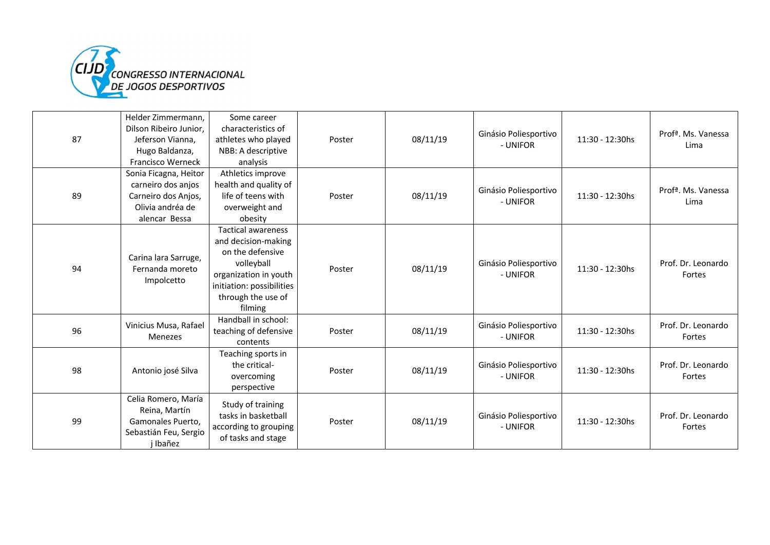

|    | Helder Zimmermann,            | Some career               |        |          |                                   |                 |                            |
|----|-------------------------------|---------------------------|--------|----------|-----------------------------------|-----------------|----------------------------|
|    | Dilson Ribeiro Junior,        | characteristics of        | Poster |          |                                   |                 | Profª. Ms. Vanessa         |
| 87 | Jeferson Vianna.              | athletes who played       |        | 08/11/19 | Ginásio Poliesportivo<br>- UNIFOR | 11:30 - 12:30hs |                            |
|    | Hugo Baldanza,                | NBB: A descriptive        |        |          |                                   |                 | Lima                       |
|    | Francisco Werneck             | analysis                  |        |          |                                   |                 |                            |
|    | Sonia Ficagna, Heitor         | Athletics improve         |        |          |                                   |                 |                            |
|    | carneiro dos anjos            | health and quality of     |        |          |                                   |                 |                            |
| 89 | Carneiro dos Anjos,           | life of teens with        | Poster | 08/11/19 | Ginásio Poliesportivo<br>- UNIFOR | 11:30 - 12:30hs | Profª. Ms. Vanessa<br>Lima |
|    | Olivia andréa de              | overweight and            |        |          |                                   |                 |                            |
|    | alencar Bessa                 | obesity                   |        |          |                                   |                 |                            |
|    |                               | Tactical awareness        |        |          |                                   |                 |                            |
|    |                               | and decision-making       |        |          |                                   |                 |                            |
|    | Carina lara Sarruge,          | on the defensive          |        |          |                                   |                 |                            |
| 94 | Fernanda moreto<br>Impolcetto | volleyball                | Poster | 08/11/19 | Ginásio Poliesportivo             | 11:30 - 12:30hs | Prof. Dr. Leonardo         |
|    |                               | organization in youth     |        |          | - UNIFOR                          |                 | Fortes                     |
|    |                               | initiation: possibilities |        |          |                                   |                 |                            |
|    |                               | through the use of        |        |          |                                   |                 |                            |
|    |                               | filming                   |        |          |                                   |                 |                            |
|    | Vinicius Musa, Rafael         | Handball in school:       |        |          | Ginásio Poliesportivo             |                 | Prof. Dr. Leonardo         |
| 96 | <b>Menezes</b>                | teaching of defensive     | Poster | 08/11/19 | - UNIFOR                          | 11:30 - 12:30hs | Fortes                     |
|    |                               | contents                  |        |          |                                   |                 |                            |
|    |                               | Teaching sports in        |        |          |                                   |                 |                            |
| 98 | Antonio josé Silva            | the critical-             | Poster | 08/11/19 | Ginásio Poliesportivo             | 11:30 - 12:30hs | Prof. Dr. Leonardo         |
|    |                               | overcoming                |        |          | - UNIFOR                          |                 | Fortes                     |
|    |                               | perspective               |        |          |                                   |                 |                            |
|    | Celia Romero, María           | Study of training         |        |          |                                   |                 |                            |
| 99 | Reina, Martín                 | tasks in basketball       |        |          | Ginásio Poliesportivo             |                 | Prof. Dr. Leonardo         |
|    | Gamonales Puerto,             | according to grouping     | Poster | 08/11/19 | - UNIFOR                          | 11:30 - 12:30hs |                            |
|    | Sebastián Feu, Sergio         | of tasks and stage        |        |          |                                   |                 | Fortes                     |
|    | j Ibañez                      |                           |        |          |                                   |                 |                            |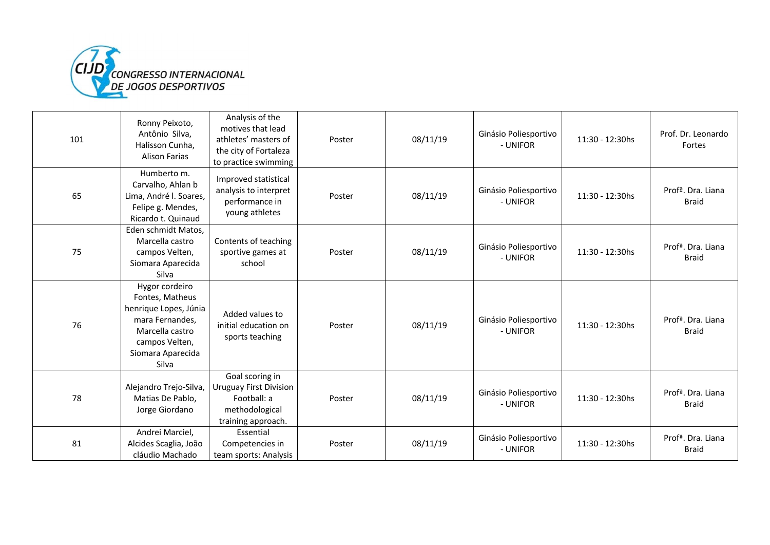

| 101 | Ronny Peixoto,<br>Antônio Silva,<br>Halisson Cunha,<br><b>Alison Farias</b>                                                                      | Analysis of the<br>motives that lead<br>athletes' masters of<br>the city of Fortaleza<br>to practice swimming | Poster | 08/11/19 | Ginásio Poliesportivo<br>- UNIFOR | 11:30 - 12:30hs | Prof. Dr. Leonardo<br>Fortes                   |
|-----|--------------------------------------------------------------------------------------------------------------------------------------------------|---------------------------------------------------------------------------------------------------------------|--------|----------|-----------------------------------|-----------------|------------------------------------------------|
| 65  | Humberto m.<br>Carvalho, Ahlan b<br>Lima, André I. Soares,<br>Felipe g. Mendes,<br>Ricardo t. Quinaud                                            | Improved statistical<br>analysis to interpret<br>performance in<br>young athletes                             | Poster | 08/11/19 | Ginásio Poliesportivo<br>- UNIFOR | 11:30 - 12:30hs | Prof <sup>a</sup> . Dra. Liana<br><b>Braid</b> |
| 75  | Eden schmidt Matos,<br>Marcella castro<br>campos Velten,<br>Siomara Aparecida<br>Silva                                                           | Contents of teaching<br>sportive games at<br>school                                                           | Poster | 08/11/19 | Ginásio Poliesportivo<br>- UNIFOR | 11:30 - 12:30hs | Prof <sup>a</sup> . Dra. Liana<br><b>Braid</b> |
| 76  | Hygor cordeiro<br>Fontes, Matheus<br>henrique Lopes, Júnia<br>mara Fernandes,<br>Marcella castro<br>campos Velten,<br>Siomara Aparecida<br>Silva | Added values to<br>initial education on<br>sports teaching                                                    | Poster | 08/11/19 | Ginásio Poliesportivo<br>- UNIFOR | 11:30 - 12:30hs | Prof <sup>a</sup> . Dra. Liana<br><b>Braid</b> |
| 78  | Alejandro Trejo-Silva,<br>Matias De Pablo,<br>Jorge Giordano                                                                                     | Goal scoring in<br><b>Uruguay First Division</b><br>Football: a<br>methodological<br>training approach.       | Poster | 08/11/19 | Ginásio Poliesportivo<br>- UNIFOR | 11:30 - 12:30hs | Prof <sup>a</sup> . Dra. Liana<br><b>Braid</b> |
| 81  | Andrei Marciel,<br>Alcides Scaglia, João<br>cláudio Machado                                                                                      | Essential<br>Competencies in<br>team sports: Analysis                                                         | Poster | 08/11/19 | Ginásio Poliesportivo<br>- UNIFOR | 11:30 - 12:30hs | Prof <sup>a</sup> . Dra. Liana<br><b>Braid</b> |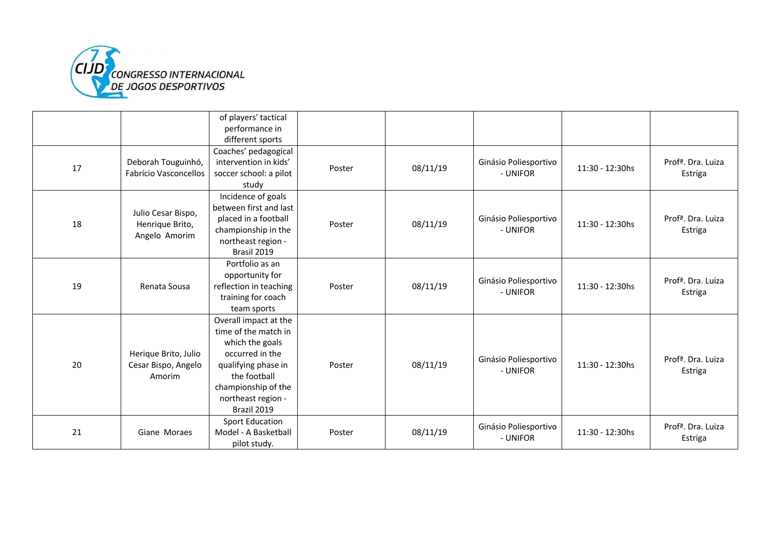

|    |                                                        | of players' tactical<br>performance in<br>different sports                                                                                                                             |        |          |                                   |                 |                                           |
|----|--------------------------------------------------------|----------------------------------------------------------------------------------------------------------------------------------------------------------------------------------------|--------|----------|-----------------------------------|-----------------|-------------------------------------------|
| 17 | Deborah Touguinhó,<br>Fabrício Vasconcellos            | Coaches' pedagogical<br>intervention in kids'<br>soccer school: a pilot<br>study                                                                                                       | Poster | 08/11/19 | Ginásio Poliesportivo<br>- UNIFOR | 11:30 - 12:30hs | Prof <sup>a</sup> , Dra. Luiza<br>Estriga |
| 18 | Julio Cesar Bispo,<br>Henrique Brito,<br>Angelo Amorim | Incidence of goals<br>between first and last<br>placed in a football<br>championship in the<br>northeast region -<br>Brasil 2019                                                       | Poster | 08/11/19 | Ginásio Poliesportivo<br>- UNIFOR | 11:30 - 12:30hs | Prof <sup>a</sup> . Dra. Luiza<br>Estriga |
| 19 | Renata Sousa                                           | Portfolio as an<br>opportunity for<br>reflection in teaching<br>training for coach<br>team sports                                                                                      | Poster | 08/11/19 | Ginásio Poliesportivo<br>- UNIFOR | 11:30 - 12:30hs | Profª. Dra. Luiza<br>Estriga              |
| 20 | Herique Brito, Julio<br>Cesar Bispo, Angelo<br>Amorim  | Overall impact at the<br>time of the match in<br>which the goals<br>occurred in the<br>qualifying phase in<br>the football<br>championship of the<br>northeast region -<br>Brazil 2019 | Poster | 08/11/19 | Ginásio Poliesportivo<br>- UNIFOR | 11:30 - 12:30hs | Prof <sup>a</sup> . Dra. Luiza<br>Estriga |
| 21 | Giane Moraes                                           | <b>Sport Education</b><br>Model - A Basketball<br>pilot study.                                                                                                                         | Poster | 08/11/19 | Ginásio Poliesportivo<br>- UNIFOR | 11:30 - 12:30hs | Profª. Dra. Luiza<br>Estriga              |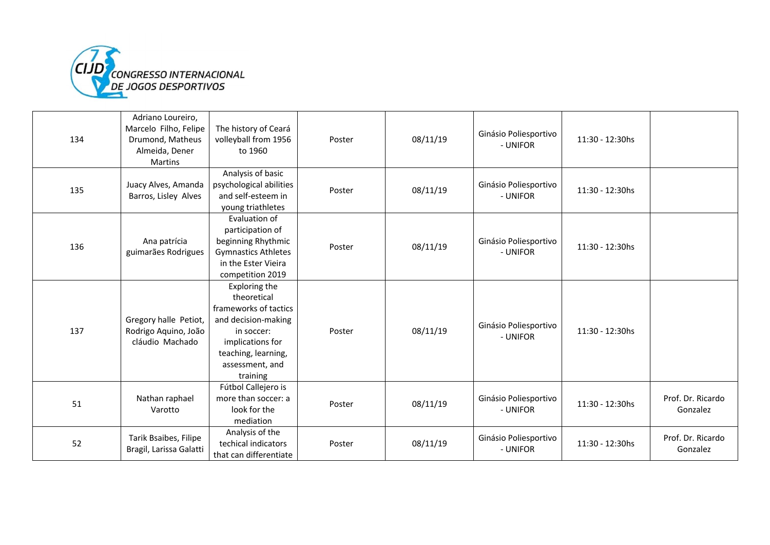

| 134 | Adriano Loureiro,<br>Marcelo Filho, Felipe<br>Drumond, Matheus<br>Almeida, Dener<br>Martins | The history of Ceará<br>volleyball from 1956<br>to 1960                                                                                                              | Poster | 08/11/19 | Ginásio Poliesportivo<br>- UNIFOR | 11:30 - 12:30hs |                               |
|-----|---------------------------------------------------------------------------------------------|----------------------------------------------------------------------------------------------------------------------------------------------------------------------|--------|----------|-----------------------------------|-----------------|-------------------------------|
| 135 | Juacy Alves, Amanda<br>Barros, Lisley Alves                                                 | Analysis of basic<br>psychological abilities<br>and self-esteem in<br>young triathletes                                                                              | Poster | 08/11/19 | Ginásio Poliesportivo<br>- UNIFOR | 11:30 - 12:30hs |                               |
| 136 | Ana patrícia<br>guimarães Rodrigues                                                         | Evaluation of<br>participation of<br>beginning Rhythmic<br><b>Gymnastics Athletes</b><br>in the Ester Vieira<br>competition 2019                                     | Poster | 08/11/19 | Ginásio Poliesportivo<br>- UNIFOR | 11:30 - 12:30hs |                               |
| 137 | Gregory halle Petiot,<br>Rodrigo Aquino, João<br>cláudio Machado                            | Exploring the<br>theoretical<br>frameworks of tactics<br>and decision-making<br>in soccer:<br>implications for<br>teaching, learning,<br>assessment, and<br>training | Poster | 08/11/19 | Ginásio Poliesportivo<br>- UNIFOR | 11:30 - 12:30hs |                               |
| 51  | Nathan raphael<br>Varotto                                                                   | Fútbol Callejero is<br>more than soccer: a<br>look for the<br>mediation                                                                                              | Poster | 08/11/19 | Ginásio Poliesportivo<br>- UNIFOR | 11:30 - 12:30hs | Prof. Dr. Ricardo<br>Gonzalez |
| 52  | Tarik Bsaibes, Filipe<br>Bragil, Larissa Galatti                                            | Analysis of the<br>techical indicators<br>that can differentiate                                                                                                     | Poster | 08/11/19 | Ginásio Poliesportivo<br>- UNIFOR | 11:30 - 12:30hs | Prof. Dr. Ricardo<br>Gonzalez |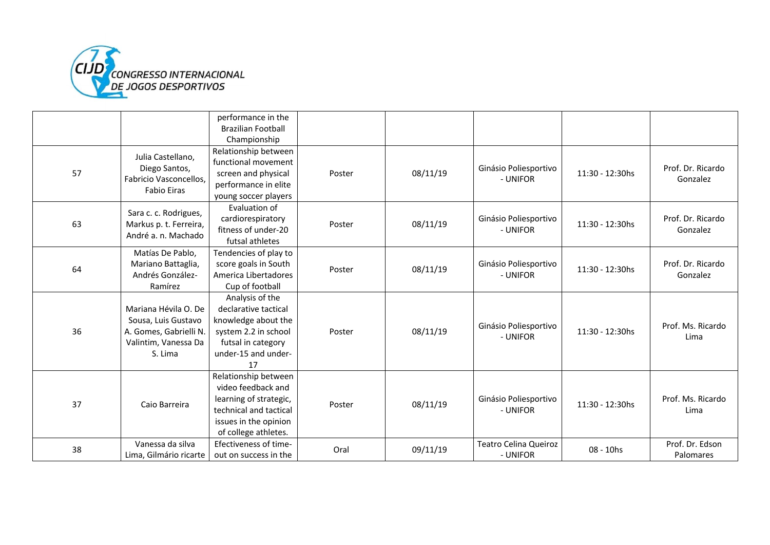

|    |                                                                                                          | performance in the                                                                                                                              |        |          |                                          |                 |                               |
|----|----------------------------------------------------------------------------------------------------------|-------------------------------------------------------------------------------------------------------------------------------------------------|--------|----------|------------------------------------------|-----------------|-------------------------------|
|    |                                                                                                          | <b>Brazilian Football</b>                                                                                                                       |        |          |                                          |                 |                               |
|    |                                                                                                          | Championship                                                                                                                                    |        |          |                                          |                 |                               |
| 57 | Julia Castellano,<br>Diego Santos,<br>Fabricio Vasconcellos,<br><b>Fabio Eiras</b>                       | Relationship between<br>functional movement<br>screen and physical<br>performance in elite                                                      | Poster | 08/11/19 | Ginásio Poliesportivo<br>- UNIFOR        | 11:30 - 12:30hs | Prof. Dr. Ricardo<br>Gonzalez |
|    |                                                                                                          | young soccer players                                                                                                                            |        |          |                                          |                 |                               |
| 63 | Sara c. c. Rodrigues,<br>Markus p. t. Ferreira,<br>André a. n. Machado                                   | Evaluation of<br>cardiorespiratory<br>fitness of under-20<br>futsal athletes                                                                    | Poster | 08/11/19 | Ginásio Poliesportivo<br>- UNIFOR        | 11:30 - 12:30hs | Prof. Dr. Ricardo<br>Gonzalez |
| 64 | Matías De Pablo,<br>Mariano Battaglia,<br>Andrés González-<br>Ramírez                                    | Tendencies of play to<br>score goals in South<br>America Libertadores<br>Cup of football                                                        | Poster | 08/11/19 | Ginásio Poliesportivo<br>- UNIFOR        | 11:30 - 12:30hs | Prof. Dr. Ricardo<br>Gonzalez |
| 36 | Mariana Hévila O. De<br>Sousa, Luis Gustavo<br>A. Gomes, Gabrielli N.<br>Valintim, Vanessa Da<br>S. Lima | Analysis of the<br>declarative tactical<br>knowledge about the<br>system 2.2 in school<br>futsal in category<br>under-15 and under-<br>17       | Poster | 08/11/19 | Ginásio Poliesportivo<br>- UNIFOR        | 11:30 - 12:30hs | Prof. Ms. Ricardo<br>Lima     |
| 37 | Caio Barreira                                                                                            | Relationship between<br>video feedback and<br>learning of strategic,<br>technical and tactical<br>issues in the opinion<br>of college athletes. | Poster | 08/11/19 | Ginásio Poliesportivo<br>- UNIFOR        | 11:30 - 12:30hs | Prof. Ms. Ricardo<br>Lima     |
| 38 | Vanessa da silva<br>Lima, Gilmário ricarte                                                               | Efectiveness of time-<br>out on success in the                                                                                                  | Oral   | 09/11/19 | <b>Teatro Celina Queiroz</b><br>- UNIFOR | 08 - 10hs       | Prof. Dr. Edson<br>Palomares  |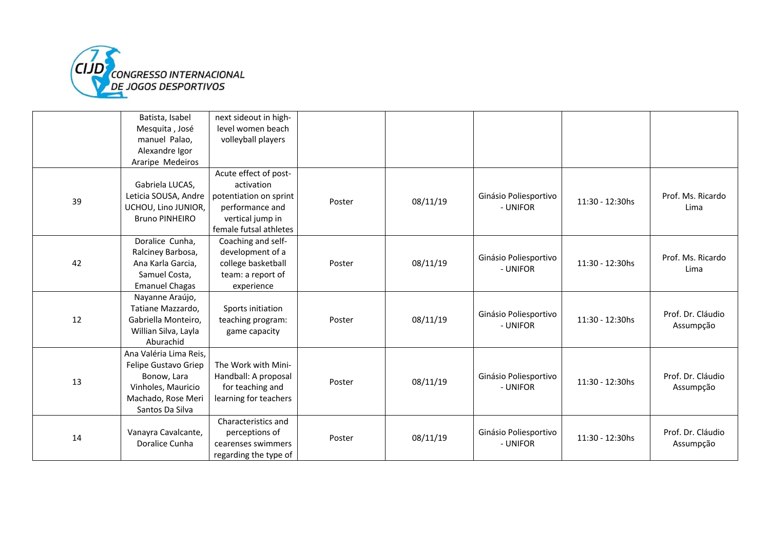

|    | Batista, Isabel        | next sideout in high-  |        |          |                       |                 |                   |
|----|------------------------|------------------------|--------|----------|-----------------------|-----------------|-------------------|
|    | Mesquita, José         | level women beach      |        |          |                       |                 |                   |
|    | manuel Palao.          | volleyball players     |        |          |                       |                 |                   |
|    | Alexandre Igor         |                        |        |          |                       |                 |                   |
|    | Araripe Medeiros       |                        |        |          |                       |                 |                   |
|    |                        | Acute effect of post-  |        |          |                       |                 |                   |
|    | Gabriela LUCAS,        | activation             |        |          |                       |                 |                   |
| 39 | Leticia SOUSA, Andre   | potentiation on sprint | Poster | 08/11/19 | Ginásio Poliesportivo | 11:30 - 12:30hs | Prof. Ms. Ricardo |
|    | UCHOU, Lino JUNIOR,    | performance and        |        |          | - UNIFOR              |                 | Lima              |
|    | <b>Bruno PINHEIRO</b>  | vertical jump in       |        |          |                       |                 |                   |
|    |                        | female futsal athletes |        |          |                       |                 |                   |
|    | Doralice Cunha,        | Coaching and self-     |        |          |                       |                 |                   |
|    | Ralciney Barbosa,      | development of a       |        |          | Ginásio Poliesportivo |                 | Prof. Ms. Ricardo |
| 42 | Ana Karla Garcia,      | college basketball     | Poster | 08/11/19 | - UNIFOR              | 11:30 - 12:30hs | Lima              |
|    | Samuel Costa,          | team: a report of      |        |          |                       |                 |                   |
|    | <b>Emanuel Chagas</b>  | experience             |        |          |                       |                 |                   |
|    | Nayanne Araújo,        |                        |        |          |                       |                 |                   |
|    | Tatiane Mazzardo,      | Sports initiation      |        |          | Ginásio Poliesportivo |                 | Prof. Dr. Cláudio |
| 12 | Gabriella Monteiro,    | teaching program:      | Poster | 08/11/19 | - UNIFOR              | 11:30 - 12:30hs | Assumpção         |
|    | Willian Silva, Layla   | game capacity          |        |          |                       |                 |                   |
|    | Aburachid              |                        |        |          |                       |                 |                   |
|    | Ana Valéria Lima Reis, |                        |        |          |                       |                 |                   |
|    | Felipe Gustavo Griep   | The Work with Mini-    |        |          |                       |                 |                   |
| 13 | Bonow, Lara            | Handball: A proposal   | Poster | 08/11/19 | Ginásio Poliesportivo | 11:30 - 12:30hs | Prof. Dr. Cláudio |
|    | Vinholes, Mauricio     | for teaching and       |        |          | - UNIFOR              |                 | Assumpção         |
|    | Machado, Rose Meri     | learning for teachers  |        |          |                       |                 |                   |
|    | Santos Da Silva        |                        |        |          |                       |                 |                   |
|    |                        | Characteristics and    |        |          |                       |                 |                   |
|    | Vanayra Cavalcante,    | perceptions of         | Poster | 08/11/19 | Ginásio Poliesportivo | 11:30 - 12:30hs | Prof. Dr. Cláudio |
| 14 | Doralice Cunha         | cearenses swimmers     |        |          | - UNIFOR              |                 | Assumpção         |
|    |                        | regarding the type of  |        |          |                       |                 |                   |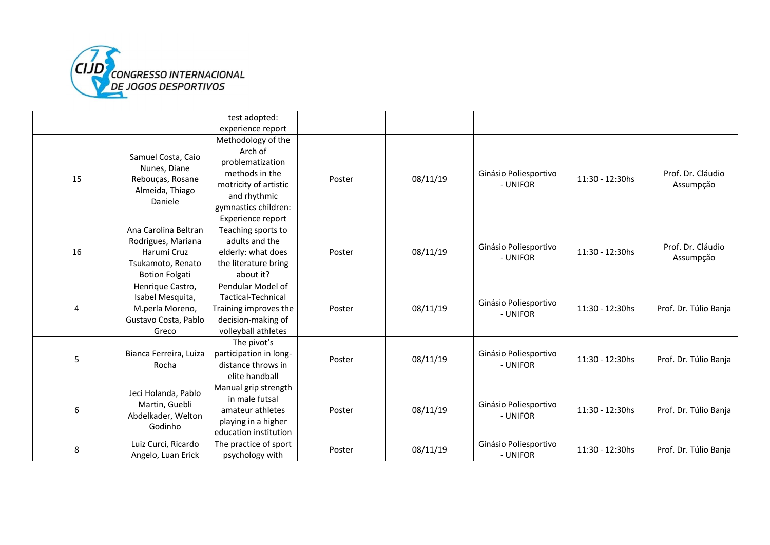

|    |                                                                                                         | test adopted:                                                                                                                                             |        |          |                                   |                 |                                |
|----|---------------------------------------------------------------------------------------------------------|-----------------------------------------------------------------------------------------------------------------------------------------------------------|--------|----------|-----------------------------------|-----------------|--------------------------------|
|    |                                                                                                         | experience report                                                                                                                                         |        |          |                                   |                 |                                |
| 15 | Samuel Costa, Caio<br>Nunes, Diane<br>Rebouças, Rosane<br>Almeida, Thiago<br>Daniele                    | Methodology of the<br>Arch of<br>problematization<br>methods in the<br>motricity of artistic<br>and rhythmic<br>gymnastics children:<br>Experience report | Poster | 08/11/19 | Ginásio Poliesportivo<br>- UNIFOR | 11:30 - 12:30hs | Prof. Dr. Cláudio<br>Assumpção |
| 16 | Ana Carolina Beltran<br>Rodrigues, Mariana<br>Harumi Cruz<br>Tsukamoto, Renato<br><b>Botion Folgati</b> | Teaching sports to<br>adults and the<br>elderly: what does<br>the literature bring<br>about it?                                                           | Poster | 08/11/19 | Ginásio Poliesportivo<br>- UNIFOR | 11:30 - 12:30hs | Prof. Dr. Cláudio<br>Assumpção |
| 4  | Henrique Castro,<br>Isabel Mesquita,<br>M.perla Moreno,<br>Gustavo Costa, Pablo<br>Greco                | Pendular Model of<br>Tactical-Technical<br>Training improves the<br>decision-making of<br>volleyball athletes                                             | Poster | 08/11/19 | Ginásio Poliesportivo<br>- UNIFOR | 11:30 - 12:30hs | Prof. Dr. Túlio Banja          |
| 5  | Bianca Ferreira, Luiza<br>Rocha                                                                         | The pivot's<br>participation in long-<br>distance throws in<br>elite handball                                                                             | Poster | 08/11/19 | Ginásio Poliesportivo<br>- UNIFOR | 11:30 - 12:30hs | Prof. Dr. Túlio Banja          |
| 6  | Jeci Holanda, Pablo<br>Martin, Guebli<br>Abdelkader, Welton<br>Godinho                                  | Manual grip strength<br>in male futsal<br>amateur athletes<br>playing in a higher<br>education institution                                                | Poster | 08/11/19 | Ginásio Poliesportivo<br>- UNIFOR | 11:30 - 12:30hs | Prof. Dr. Túlio Banja          |
| 8  | Luiz Curci, Ricardo<br>Angelo, Luan Erick                                                               | The practice of sport<br>psychology with                                                                                                                  | Poster | 08/11/19 | Ginásio Poliesportivo<br>- UNIFOR | 11:30 - 12:30hs | Prof. Dr. Túlio Banja          |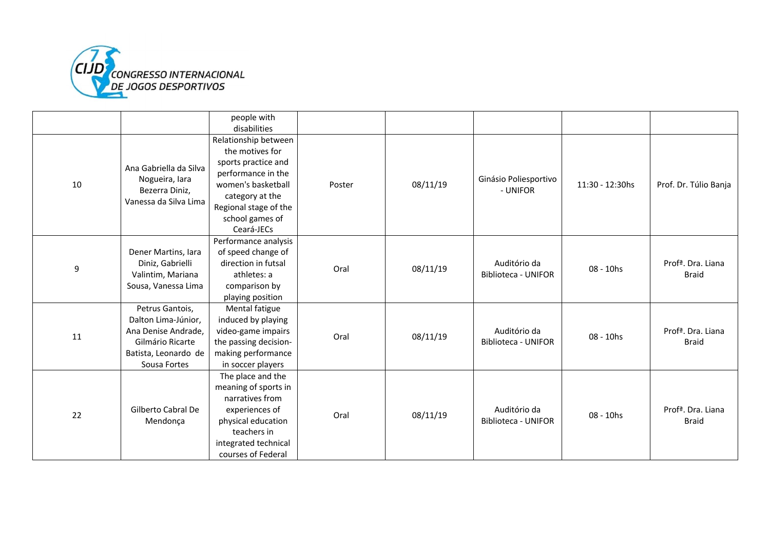

|    |                                                                                                                           | people with<br>disabilities                                                                                                                                                             |        |          |                                            |                 |                                                |
|----|---------------------------------------------------------------------------------------------------------------------------|-----------------------------------------------------------------------------------------------------------------------------------------------------------------------------------------|--------|----------|--------------------------------------------|-----------------|------------------------------------------------|
| 10 | Ana Gabriella da Silva<br>Nogueira, lara<br>Bezerra Diniz,<br>Vanessa da Silva Lima                                       | Relationship between<br>the motives for<br>sports practice and<br>performance in the<br>women's basketball<br>category at the<br>Regional stage of the<br>school games of<br>Ceará-JECs | Poster | 08/11/19 | Ginásio Poliesportivo<br>- UNIFOR          | 11:30 - 12:30hs | Prof. Dr. Túlio Banja                          |
| 9  | Dener Martins, lara<br>Diniz, Gabrielli<br>Valintim, Mariana<br>Sousa, Vanessa Lima                                       | Performance analysis<br>of speed change of<br>direction in futsal<br>athletes: a<br>comparison by<br>playing position                                                                   | Oral   | 08/11/19 | Auditório da<br><b>Biblioteca - UNIFOR</b> | 08 - 10hs       | Profª. Dra. Liana<br><b>Braid</b>              |
| 11 | Petrus Gantois,<br>Dalton Lima-Júnior,<br>Ana Denise Andrade,<br>Gilmário Ricarte<br>Batista, Leonardo de<br>Sousa Fortes | Mental fatigue<br>induced by playing<br>video-game impairs<br>the passing decision-<br>making performance<br>in soccer players                                                          | Oral   | 08/11/19 | Auditório da<br><b>Biblioteca - UNIFOR</b> | 08 - 10hs       | Prof <sup>a</sup> , Dra. Liana<br><b>Braid</b> |
| 22 | Gilberto Cabral De<br>Mendonça                                                                                            | The place and the<br>meaning of sports in<br>narratives from<br>experiences of<br>physical education<br>teachers in<br>integrated technical<br>courses of Federal                       | Oral   | 08/11/19 | Auditório da<br><b>Biblioteca - UNIFOR</b> | 08 - 10hs       | Prof <sup>a</sup> . Dra. Liana<br><b>Braid</b> |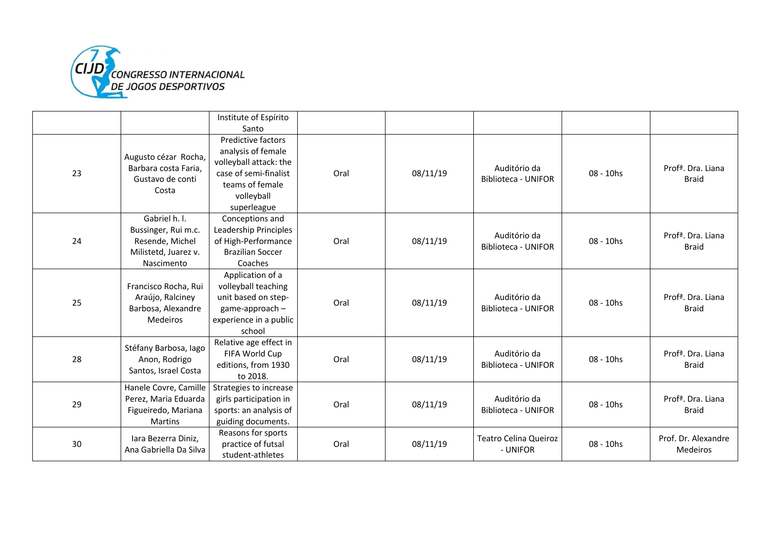

|    |                                                                                               | Institute of Espírito                                                                                                                       |      |          |                                            |              |                                                |
|----|-----------------------------------------------------------------------------------------------|---------------------------------------------------------------------------------------------------------------------------------------------|------|----------|--------------------------------------------|--------------|------------------------------------------------|
|    |                                                                                               | Santo                                                                                                                                       |      |          |                                            |              |                                                |
| 23 | Augusto cézar Rocha,<br>Barbara costa Faria.<br>Gustavo de conti<br>Costa                     | Predictive factors<br>analysis of female<br>volleyball attack: the<br>case of semi-finalist<br>teams of female<br>volleyball<br>superleague | Oral | 08/11/19 | Auditório da<br><b>Biblioteca - UNIFOR</b> | 08 - 10hs    | Profª. Dra. Liana<br><b>Braid</b>              |
| 24 | Gabriel h. l.<br>Bussinger, Rui m.c.<br>Resende, Michel<br>Milistetd, Juarez v.<br>Nascimento | Conceptions and<br>Leadership Principles<br>of High-Performance<br><b>Brazilian Soccer</b><br>Coaches                                       | Oral | 08/11/19 | Auditório da<br><b>Biblioteca - UNIFOR</b> | 08 - 10hs    | Profª. Dra. Liana<br><b>Braid</b>              |
| 25 | Francisco Rocha, Rui<br>Araújo, Ralciney<br>Barbosa, Alexandre<br><b>Medeiros</b>             | Application of a<br>volleyball teaching<br>unit based on step-<br>game-approach -<br>experience in a public<br>school                       | Oral | 08/11/19 | Auditório da<br><b>Biblioteca - UNIFOR</b> | $08 - 10$ hs | Prof <sup>a</sup> . Dra. Liana<br><b>Braid</b> |
| 28 | Stéfany Barbosa, lago<br>Anon, Rodrigo<br>Santos, Israel Costa                                | Relative age effect in<br>FIFA World Cup<br>editions, from 1930<br>to 2018.                                                                 | Oral | 08/11/19 | Auditório da<br><b>Biblioteca - UNIFOR</b> | $08 - 10$ hs | Prof <sup>a</sup> . Dra. Liana<br><b>Braid</b> |
| 29 | Hanele Covre, Camille<br>Perez, Maria Eduarda<br>Figueiredo, Mariana<br><b>Martins</b>        | Strategies to increase<br>girls participation in<br>sports: an analysis of<br>guiding documents.                                            | Oral | 08/11/19 | Auditório da<br><b>Biblioteca - UNIFOR</b> | 08 - 10hs    | Profª. Dra. Liana<br><b>Braid</b>              |
| 30 | Iara Bezerra Diniz,<br>Ana Gabriella Da Silva                                                 | Reasons for sports<br>practice of futsal<br>student-athletes                                                                                | Oral | 08/11/19 | <b>Teatro Celina Queiroz</b><br>- UNIFOR   | 08 - 10hs    | Prof. Dr. Alexandre<br><b>Medeiros</b>         |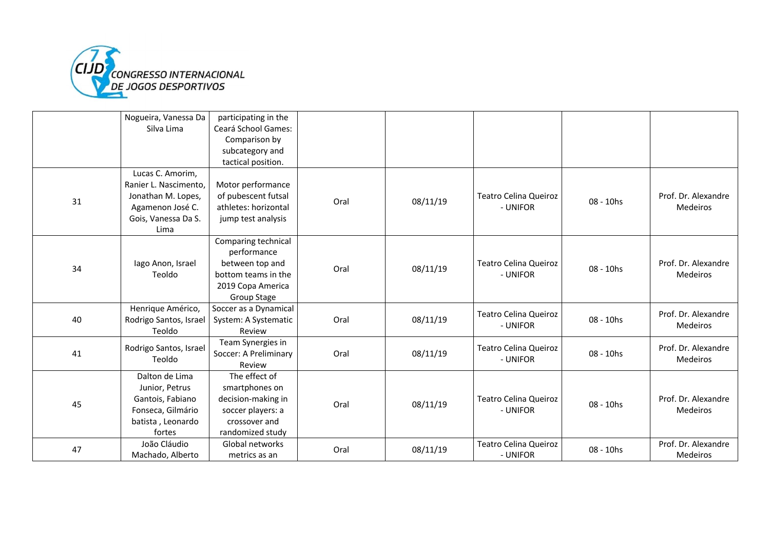

|    | Nogueira, Vanessa Da   | participating in the  |      |          |                              |           |                     |
|----|------------------------|-----------------------|------|----------|------------------------------|-----------|---------------------|
|    | Silva Lima             | Ceará School Games:   |      |          |                              |           |                     |
|    |                        | Comparison by         |      |          |                              |           |                     |
|    |                        | subcategory and       |      |          |                              |           |                     |
|    |                        | tactical position.    |      |          |                              |           |                     |
|    | Lucas C. Amorim,       |                       |      |          |                              |           |                     |
|    | Ranier L. Nascimento,  | Motor performance     |      |          |                              |           |                     |
|    | Jonathan M. Lopes,     | of pubescent futsal   |      |          | <b>Teatro Celina Queiroz</b> |           | Prof. Dr. Alexandre |
| 31 | Agamenon José C.       | athletes: horizontal  | Oral | 08/11/19 | - UNIFOR                     | 08 - 10hs | <b>Medeiros</b>     |
|    | Gois, Vanessa Da S.    | jump test analysis    |      |          |                              |           |                     |
|    | Lima                   |                       |      |          |                              |           |                     |
|    |                        | Comparing technical   |      |          |                              |           |                     |
|    |                        | performance           |      |          |                              |           |                     |
|    | lago Anon, Israel      | between top and       |      |          | <b>Teatro Celina Queiroz</b> |           | Prof. Dr. Alexandre |
| 34 | Teoldo                 | bottom teams in the   | Oral | 08/11/19 | - UNIFOR                     | 08 - 10hs | <b>Medeiros</b>     |
|    |                        | 2019 Copa America     |      |          |                              |           |                     |
|    |                        | Group Stage           |      |          |                              |           |                     |
|    | Henrique Américo,      | Soccer as a Dynamical |      |          |                              |           | Prof. Dr. Alexandre |
| 40 | Rodrigo Santos, Israel | System: A Systematic  | Oral | 08/11/19 | Teatro Celina Queiroz        | 08 - 10hs |                     |
|    | Teoldo                 | Review                |      |          | - UNIFOR                     |           | <b>Medeiros</b>     |
|    |                        | Team Synergies in     |      |          |                              |           |                     |
| 41 | Rodrigo Santos, Israel | Soccer: A Preliminary | Oral | 08/11/19 | <b>Teatro Celina Queiroz</b> | 08 - 10hs | Prof. Dr. Alexandre |
|    | Teoldo                 | Review                |      |          | - UNIFOR                     |           | <b>Medeiros</b>     |
|    | Dalton de Lima         | The effect of         |      |          |                              |           |                     |
|    | Junior, Petrus         | smartphones on        |      |          |                              |           |                     |
|    | Gantois, Fabiano       | decision-making in    |      |          | <b>Teatro Celina Queiroz</b> |           | Prof. Dr. Alexandre |
| 45 | Fonseca, Gilmário      | soccer players: a     | Oral | 08/11/19 | - UNIFOR                     | 08 - 10hs | <b>Medeiros</b>     |
|    | batista, Leonardo      | crossover and         |      |          |                              |           |                     |
|    | fortes                 | randomized study      |      |          |                              |           |                     |
|    | João Cláudio           | Global networks       |      |          | Teatro Celina Queiroz        |           | Prof. Dr. Alexandre |
| 47 | Machado, Alberto       | metrics as an         | Oral | 08/11/19 | - UNIFOR                     | 08 - 10hs | <b>Medeiros</b>     |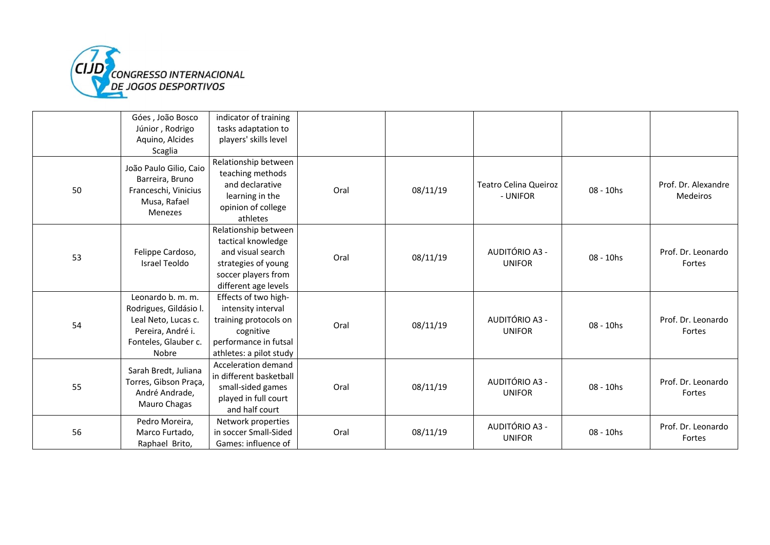

|    | Góes, João Bosco                                                                                                         | indicator of training                                                                                                                 |      |          |                                          |           |                                 |
|----|--------------------------------------------------------------------------------------------------------------------------|---------------------------------------------------------------------------------------------------------------------------------------|------|----------|------------------------------------------|-----------|---------------------------------|
|    | Júnior, Rodrigo                                                                                                          | tasks adaptation to                                                                                                                   |      |          |                                          |           |                                 |
|    | Aquino, Alcides                                                                                                          | players' skills level                                                                                                                 |      |          |                                          |           |                                 |
|    | Scaglia                                                                                                                  |                                                                                                                                       |      |          |                                          |           |                                 |
| 50 | João Paulo Gilio, Caio<br>Barreira, Bruno<br>Franceschi, Vinicius<br>Musa, Rafael<br>Menezes                             | Relationship between<br>teaching methods<br>and declarative<br>learning in the<br>opinion of college<br>athletes                      | Oral | 08/11/19 | <b>Teatro Celina Queiroz</b><br>- UNIFOR | 08 - 10hs | Prof. Dr. Alexandre<br>Medeiros |
| 53 | Felippe Cardoso,<br>Israel Teoldo                                                                                        | Relationship between<br>tactical knowledge<br>and visual search<br>strategies of young<br>soccer players from<br>different age levels | Oral | 08/11/19 | AUDITÓRIO A3 -<br><b>UNIFOR</b>          | 08 - 10hs | Prof. Dr. Leonardo<br>Fortes    |
| 54 | Leonardo b. m. m.<br>Rodrigues, Gildásio I.<br>Leal Neto, Lucas c.<br>Pereira, André i.<br>Fonteles, Glauber c.<br>Nobre | Effects of two high-<br>intensity interval<br>training protocols on<br>cognitive<br>performance in futsal<br>athletes: a pilot study  | Oral | 08/11/19 | AUDITÓRIO A3 -<br><b>UNIFOR</b>          | 08 - 10hs | Prof. Dr. Leonardo<br>Fortes    |
| 55 | Sarah Bredt, Juliana<br>Torres, Gibson Praça,<br>André Andrade,<br>Mauro Chagas                                          | Acceleration demand<br>in different basketball<br>small-sided games<br>played in full court<br>and half court                         | Oral | 08/11/19 | AUDITÓRIO A3 -<br><b>UNIFOR</b>          | 08 - 10hs | Prof. Dr. Leonardo<br>Fortes    |
| 56 | Pedro Moreira,<br>Marco Furtado,<br>Raphael Brito,                                                                       | Network properties<br>in soccer Small-Sided<br>Games: influence of                                                                    | Oral | 08/11/19 | AUDITÓRIO A3 -<br><b>UNIFOR</b>          | 08 - 10hs | Prof. Dr. Leonardo<br>Fortes    |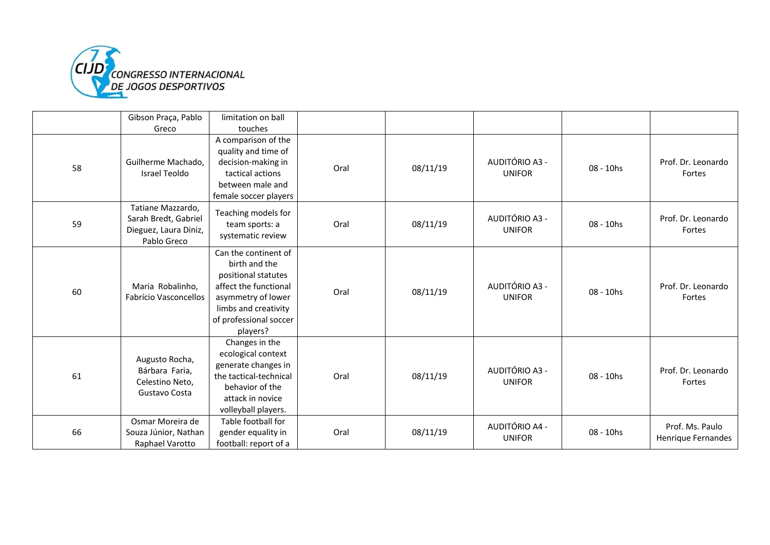

|    | Gibson Praça, Pablo                                                               | limitation on ball                                                                                                                                                        |      |          |                                 |           |                                       |
|----|-----------------------------------------------------------------------------------|---------------------------------------------------------------------------------------------------------------------------------------------------------------------------|------|----------|---------------------------------|-----------|---------------------------------------|
|    | Greco                                                                             | touches                                                                                                                                                                   |      |          |                                 |           |                                       |
| 58 | Guilherme Machado,<br>Israel Teoldo                                               | A comparison of the<br>quality and time of<br>decision-making in<br>tactical actions<br>between male and<br>female soccer players                                         | Oral | 08/11/19 | AUDITÓRIO A3 -<br><b>UNIFOR</b> | 08 - 10hs | Prof. Dr. Leonardo<br>Fortes          |
| 59 | Tatiane Mazzardo,<br>Sarah Bredt, Gabriel<br>Dieguez, Laura Diniz,<br>Pablo Greco | Teaching models for<br>team sports: a<br>systematic review                                                                                                                | Oral | 08/11/19 | AUDITÓRIO A3 -<br><b>UNIFOR</b> | 08 - 10hs | Prof. Dr. Leonardo<br>Fortes          |
| 60 | Maria Robalinho,<br>Fabrício Vasconcellos                                         | Can the continent of<br>birth and the<br>positional statutes<br>affect the functional<br>asymmetry of lower<br>limbs and creativity<br>of professional soccer<br>players? | Oral | 08/11/19 | AUDITÓRIO A3 -<br><b>UNIFOR</b> | 08 - 10hs | Prof. Dr. Leonardo<br>Fortes          |
| 61 | Augusto Rocha,<br>Bárbara Faria,<br>Celestino Neto,<br>Gustavo Costa              | Changes in the<br>ecological context<br>generate changes in<br>the tactical-technical<br>behavior of the<br>attack in novice<br>volleyball players.                       | Oral | 08/11/19 | AUDITÓRIO A3 -<br><b>UNIFOR</b> | 08 - 10hs | Prof. Dr. Leonardo<br>Fortes          |
| 66 | Osmar Moreira de<br>Souza Júnior, Nathan<br>Raphael Varotto                       | Table football for<br>gender equality in<br>football: report of a                                                                                                         | Oral | 08/11/19 | AUDITÓRIO A4 -<br><b>UNIFOR</b> | 08 - 10hs | Prof. Ms. Paulo<br>Henrique Fernandes |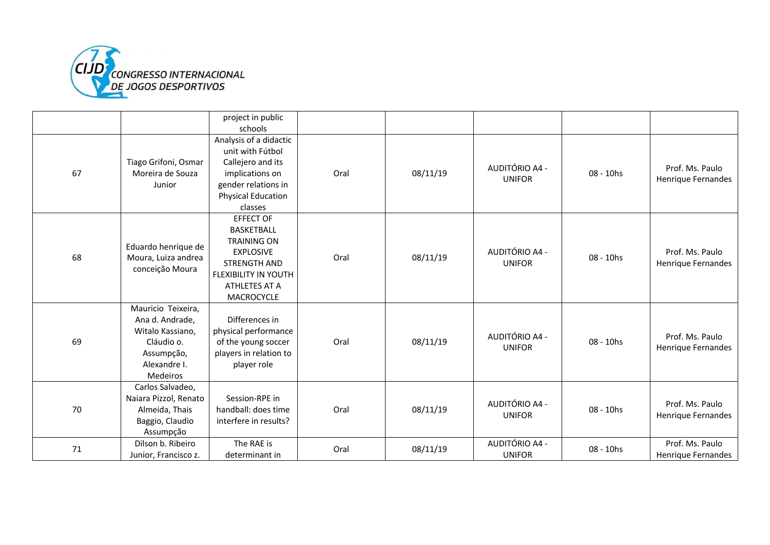

|    |                                                                                                                   | project in public<br>schools                                                                                                                           |      |          |                                 |           |                                       |
|----|-------------------------------------------------------------------------------------------------------------------|--------------------------------------------------------------------------------------------------------------------------------------------------------|------|----------|---------------------------------|-----------|---------------------------------------|
| 67 | Tiago Grifoni, Osmar<br>Moreira de Souza<br>Junior                                                                | Analysis of a didactic<br>unit with Fútbol<br>Callejero and its<br>implications on<br>gender relations in<br><b>Physical Education</b><br>classes      | Oral | 08/11/19 | AUDITÓRIO A4 -<br><b>UNIFOR</b> | 08 - 10hs | Prof. Ms. Paulo<br>Henrique Fernandes |
| 68 | Eduardo henrique de<br>Moura, Luiza andrea<br>conceição Moura                                                     | <b>EFFECT OF</b><br>BASKETBALL<br><b>TRAINING ON</b><br><b>EXPLOSIVE</b><br><b>STRENGTH AND</b><br>FLEXIBILITY IN YOUTH<br>ATHLETES AT A<br>MACROCYCLE | Oral | 08/11/19 | AUDITÓRIO A4 -<br><b>UNIFOR</b> | 08 - 10hs | Prof. Ms. Paulo<br>Henrique Fernandes |
| 69 | Mauricio Teixeira,<br>Ana d. Andrade,<br>Witalo Kassiano,<br>Cláudio o.<br>Assumpção,<br>Alexandre I.<br>Medeiros | Differences in<br>physical performance<br>of the young soccer<br>players in relation to<br>player role                                                 | Oral | 08/11/19 | AUDITÓRIO A4 -<br><b>UNIFOR</b> | 08 - 10hs | Prof. Ms. Paulo<br>Henrique Fernandes |
| 70 | Carlos Salvadeo,<br>Naiara Pizzol, Renato<br>Almeida, Thais<br>Baggio, Claudio<br>Assumpção                       | Session-RPE in<br>handball: does time<br>interfere in results?                                                                                         | Oral | 08/11/19 | AUDITÓRIO A4 -<br><b>UNIFOR</b> | 08 - 10hs | Prof. Ms. Paulo<br>Henrique Fernandes |
| 71 | Dilson b. Ribeiro<br>Junior, Francisco z.                                                                         | The RAE is<br>determinant in                                                                                                                           | Oral | 08/11/19 | AUDITÓRIO A4 -<br><b>UNIFOR</b> | 08 - 10hs | Prof. Ms. Paulo<br>Henrique Fernandes |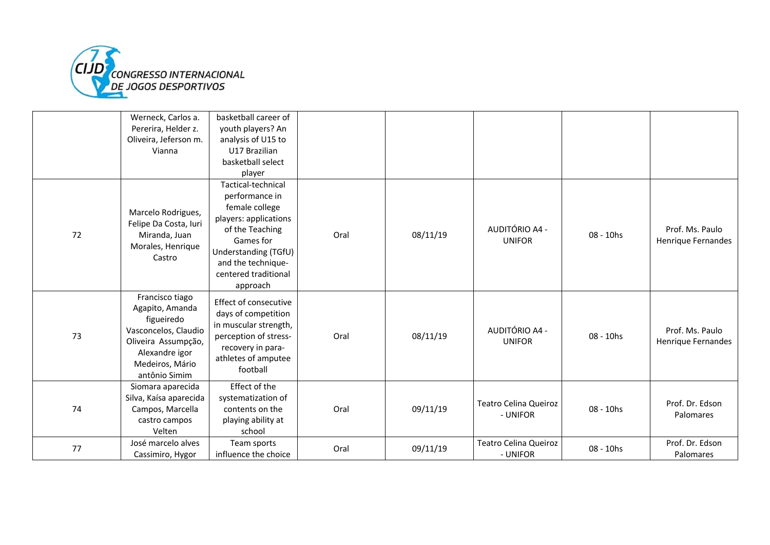

|    | Werneck, Carlos a.<br>Pererira, Helder z.<br>Oliveira, Jeferson m.<br>Vianna                                                                          | basketball career of<br>youth players? An<br>analysis of U15 to<br>U17 Brazilian<br>basketball select<br>player                                                                                   |      |          |                                          |           |                                       |
|----|-------------------------------------------------------------------------------------------------------------------------------------------------------|---------------------------------------------------------------------------------------------------------------------------------------------------------------------------------------------------|------|----------|------------------------------------------|-----------|---------------------------------------|
| 72 | Marcelo Rodrigues,<br>Felipe Da Costa, Iuri<br>Miranda, Juan<br>Morales, Henrique<br>Castro                                                           | Tactical-technical<br>performance in<br>female college<br>players: applications<br>of the Teaching<br>Games for<br>Understanding (TGfU)<br>and the technique-<br>centered traditional<br>approach | Oral | 08/11/19 | AUDITÓRIO A4 -<br><b>UNIFOR</b>          | 08 - 10hs | Prof. Ms. Paulo<br>Henrique Fernandes |
| 73 | Francisco tiago<br>Agapito, Amanda<br>figueiredo<br>Vasconcelos, Claudio<br>Oliveira Assumpção,<br>Alexandre igor<br>Medeiros, Mário<br>antônio Simim | Effect of consecutive<br>days of competition<br>in muscular strength,<br>perception of stress-<br>recovery in para-<br>athletes of amputee<br>football                                            | Oral | 08/11/19 | AUDITÓRIO A4 -<br><b>UNIFOR</b>          | 08 - 10hs | Prof. Ms. Paulo<br>Henrique Fernandes |
| 74 | Siomara aparecida<br>Silva, Kaísa aparecida<br>Campos, Marcella<br>castro campos<br>Velten                                                            | Effect of the<br>systematization of<br>contents on the<br>playing ability at<br>school                                                                                                            | Oral | 09/11/19 | Teatro Celina Queiroz<br>- UNIFOR        | 08 - 10hs | Prof. Dr. Edson<br>Palomares          |
| 77 | José marcelo alves<br>Cassimiro, Hygor                                                                                                                | Team sports<br>influence the choice                                                                                                                                                               | Oral | 09/11/19 | <b>Teatro Celina Queiroz</b><br>- UNIFOR | 08 - 10hs | Prof. Dr. Edson<br>Palomares          |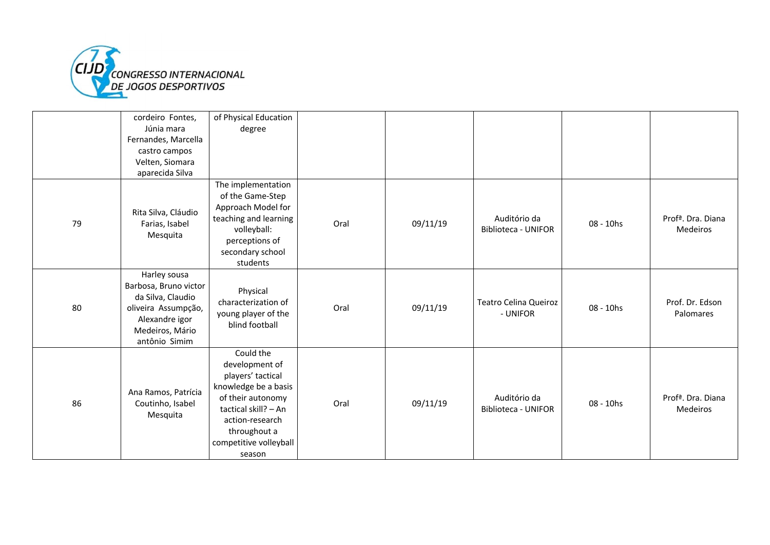

|    | cordeiro Fontes,<br>Júnia mara                                                                                                          | of Physical Education<br>degree                                                                                                                                                              |      |          |                                            |           |                                            |
|----|-----------------------------------------------------------------------------------------------------------------------------------------|----------------------------------------------------------------------------------------------------------------------------------------------------------------------------------------------|------|----------|--------------------------------------------|-----------|--------------------------------------------|
|    | Fernandes, Marcella                                                                                                                     |                                                                                                                                                                                              |      |          |                                            |           |                                            |
|    | castro campos<br>Velten, Siomara<br>aparecida Silva                                                                                     |                                                                                                                                                                                              |      |          |                                            |           |                                            |
| 79 | Rita Silva, Cláudio<br>Farias, Isabel<br>Mesquita                                                                                       | The implementation<br>of the Game-Step<br>Approach Model for<br>teaching and learning<br>volleyball:<br>perceptions of<br>secondary school<br>students                                       | Oral | 09/11/19 | Auditório da<br><b>Biblioteca - UNIFOR</b> | 08 - 10hs | Profª. Dra. Diana<br><b>Medeiros</b>       |
| 80 | Harley sousa<br>Barbosa, Bruno victor<br>da Silva, Claudio<br>oliveira Assumpção,<br>Alexandre igor<br>Medeiros, Mário<br>antônio Simim | Physical<br>characterization of<br>young player of the<br>blind football                                                                                                                     | Oral | 09/11/19 | Teatro Celina Queiroz<br>- UNIFOR          | 08 - 10hs | Prof. Dr. Edson<br>Palomares               |
| 86 | Ana Ramos, Patrícia<br>Coutinho, Isabel<br>Mesquita                                                                                     | Could the<br>development of<br>players' tactical<br>knowledge be a basis<br>of their autonomy<br>tactical skill? - An<br>action-research<br>throughout a<br>competitive volleyball<br>season | Oral | 09/11/19 | Auditório da<br>Biblioteca - UNIFOR        | 08 - 10hs | Prof <sup>a</sup> . Dra. Diana<br>Medeiros |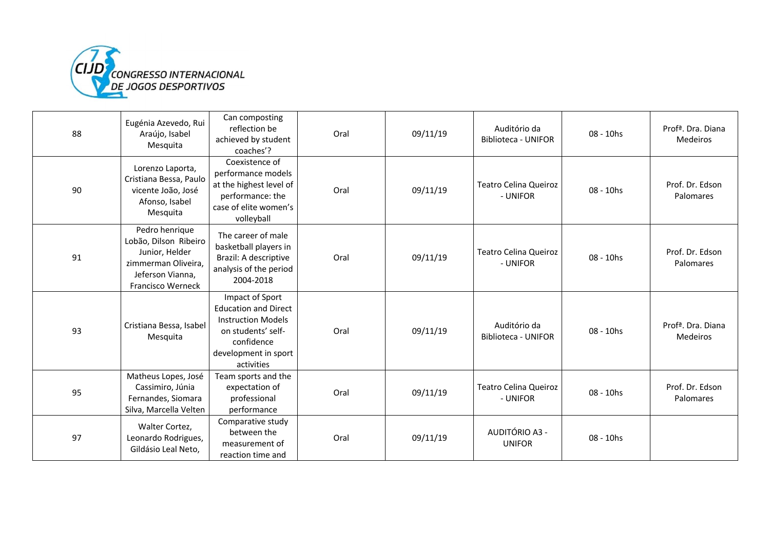

| 88 | Eugénia Azevedo, Rui<br>Araújo, Isabel<br>Mesquita                                                                        | Can composting<br>reflection be<br>achieved by student<br>coaches'?                                                                                   | Oral | 09/11/19 | Auditório da<br><b>Biblioteca - UNIFOR</b> | $08 - 10$ hs | Prof <sup>a</sup> . Dra. Diana<br><b>Medeiros</b> |
|----|---------------------------------------------------------------------------------------------------------------------------|-------------------------------------------------------------------------------------------------------------------------------------------------------|------|----------|--------------------------------------------|--------------|---------------------------------------------------|
| 90 | Lorenzo Laporta,<br>Cristiana Bessa, Paulo<br>vicente João, José<br>Afonso, Isabel<br>Mesquita                            | Coexistence of<br>performance models<br>at the highest level of<br>performance: the<br>case of elite women's<br>volleyball                            | Oral | 09/11/19 | Teatro Celina Queiroz<br>- UNIFOR          | 08 - 10hs    | Prof. Dr. Edson<br>Palomares                      |
| 91 | Pedro henrique<br>Lobão, Dilson Ribeiro<br>Junior, Helder<br>zimmerman Oliveira,<br>Jeferson Vianna,<br>Francisco Werneck | The career of male<br>basketball players in<br>Brazil: A descriptive<br>analysis of the period<br>2004-2018                                           | Oral | 09/11/19 | <b>Teatro Celina Queiroz</b><br>- UNIFOR   | 08 - 10hs    | Prof. Dr. Edson<br>Palomares                      |
| 93 | Cristiana Bessa, Isabel<br>Mesquita                                                                                       | Impact of Sport<br><b>Education and Direct</b><br><b>Instruction Models</b><br>on students' self-<br>confidence<br>development in sport<br>activities | Oral | 09/11/19 | Auditório da<br><b>Biblioteca - UNIFOR</b> | 08 - 10hs    | Prof <sup>a</sup> . Dra. Diana<br><b>Medeiros</b> |
| 95 | Matheus Lopes, José<br>Cassimiro, Júnia<br>Fernandes, Siomara<br>Silva, Marcella Velten                                   | Team sports and the<br>expectation of<br>professional<br>performance                                                                                  | Oral | 09/11/19 | <b>Teatro Celina Queiroz</b><br>- UNIFOR   | 08 - 10hs    | Prof. Dr. Edson<br>Palomares                      |
| 97 | Walter Cortez,<br>Leonardo Rodrigues,<br>Gildásio Leal Neto,                                                              | Comparative study<br>between the<br>measurement of<br>reaction time and                                                                               | Oral | 09/11/19 | AUDITÓRIO A3 -<br><b>UNIFOR</b>            | 08 - 10hs    |                                                   |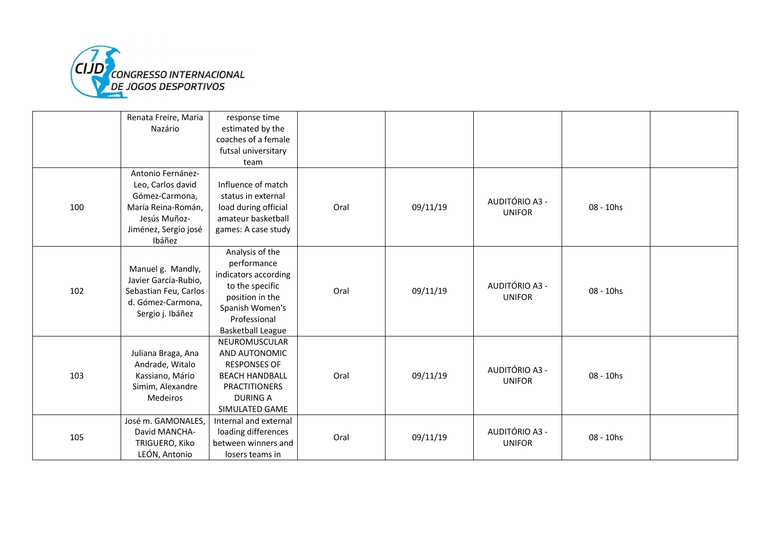

|     | Renata Freire, Maria                          | response time            |      |          |                |           |  |
|-----|-----------------------------------------------|--------------------------|------|----------|----------------|-----------|--|
|     | Nazário                                       | estimated by the         |      |          |                |           |  |
|     |                                               | coaches of a female      |      |          |                |           |  |
|     |                                               | futsal universitary      |      |          |                |           |  |
|     |                                               | team                     |      |          |                |           |  |
|     | Antonio Fernánez-                             |                          |      |          |                |           |  |
|     | Leo, Carlos david                             | Influence of match       |      |          |                |           |  |
|     | Gómez-Carmona,                                | status in external       |      |          | AUDITÓRIO A3 - |           |  |
| 100 | María Reina-Román,                            | load during official     | Oral | 09/11/19 |                | 08 - 10hs |  |
|     | Jesús Muñoz-                                  | amateur basketball       |      |          | <b>UNIFOR</b>  |           |  |
|     | Jiménez, Sergio josé                          | games: A case study      |      |          |                |           |  |
|     | Ibáñez                                        |                          |      |          |                |           |  |
|     |                                               | Analysis of the          |      |          |                |           |  |
|     |                                               | performance              |      |          |                |           |  |
|     | Manuel g. Mandly,                             | indicators according     |      |          |                |           |  |
| 102 | Javier García-Rubio,<br>Sebastian Feu, Carlos | to the specific          | Oral |          | AUDITÓRIO A3 - | 08 - 10hs |  |
|     |                                               | position in the          |      | 09/11/19 | <b>UNIFOR</b>  |           |  |
|     | d. Gómez-Carmona,                             | Spanish Women's          |      |          |                |           |  |
|     | Sergio j. Ibáñez                              | Professional             |      |          |                |           |  |
|     |                                               | <b>Basketball League</b> |      |          |                |           |  |
|     |                                               | NEUROMUSCULAR            |      |          |                |           |  |
|     | Juliana Braga, Ana                            | AND AUTONOMIC            |      |          |                |           |  |
|     | Andrade, Witalo                               | <b>RESPONSES OF</b>      |      |          | AUDITÓRIO A3 - |           |  |
| 103 | Kassiano, Mário                               | <b>BEACH HANDBALL</b>    | Oral | 09/11/19 |                | 08 - 10hs |  |
|     | Simim, Alexandre                              | <b>PRACTITIONERS</b>     |      |          | <b>UNIFOR</b>  |           |  |
|     | Medeiros                                      | <b>DURING A</b>          |      |          |                |           |  |
|     |                                               | SIMULATED GAME           |      |          |                |           |  |
|     | José m. GAMONALES,                            | Internal and external    |      |          |                |           |  |
|     | David MANCHA-                                 | loading differences      |      |          | AUDITÓRIO A3 - |           |  |
| 105 | TRIGUERO, Kiko                                | between winners and      | Oral | 09/11/19 | <b>UNIFOR</b>  | 08 - 10hs |  |
|     | LEÓN, Antonio                                 | losers teams in          |      |          |                |           |  |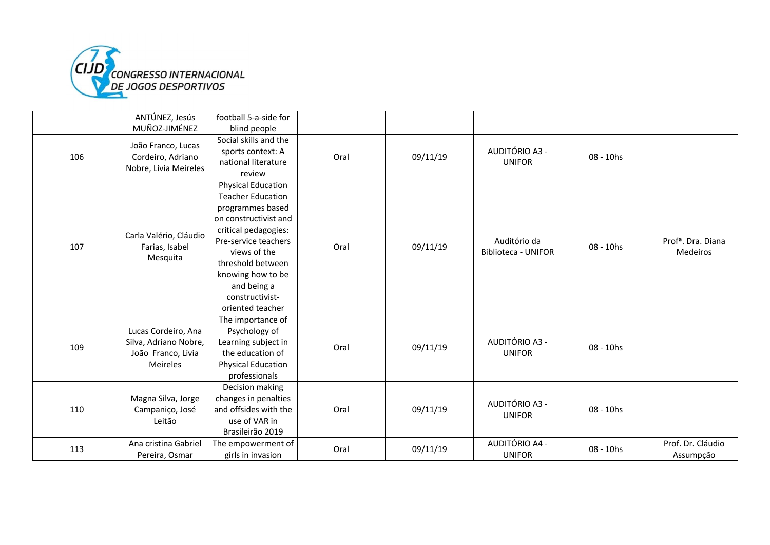

|     | ANTÚNEZ, Jesús<br>MUÑOZ-JIMÉNEZ                                                | football 5-a-side for<br>blind people                                                                                                                                                                                                                              |      |          |                                            |           |                                            |
|-----|--------------------------------------------------------------------------------|--------------------------------------------------------------------------------------------------------------------------------------------------------------------------------------------------------------------------------------------------------------------|------|----------|--------------------------------------------|-----------|--------------------------------------------|
| 106 | João Franco, Lucas<br>Cordeiro, Adriano<br>Nobre, Livia Meireles               | Social skills and the<br>sports context: A<br>national literature<br>review                                                                                                                                                                                        | Oral | 09/11/19 | AUDITÓRIO A3 -<br><b>UNIFOR</b>            | 08 - 10hs |                                            |
| 107 | Carla Valério, Cláudio<br>Farias, Isabel<br>Mesquita                           | <b>Physical Education</b><br><b>Teacher Education</b><br>programmes based<br>on constructivist and<br>critical pedagogies:<br>Pre-service teachers<br>views of the<br>threshold between<br>knowing how to be<br>and being a<br>constructivist-<br>oriented teacher | Oral | 09/11/19 | Auditório da<br><b>Biblioteca - UNIFOR</b> | 08 - 10hs | Prof <sup>a</sup> . Dra. Diana<br>Medeiros |
| 109 | Lucas Cordeiro, Ana<br>Silva, Adriano Nobre,<br>João Franco, Livia<br>Meireles | The importance of<br>Psychology of<br>Learning subject in<br>the education of<br><b>Physical Education</b><br>professionals                                                                                                                                        | Oral | 09/11/19 | AUDITÓRIO A3 -<br><b>UNIFOR</b>            | 08 - 10hs |                                            |
| 110 | Magna Silva, Jorge<br>Campaniço, José<br>Leitão                                | Decision making<br>changes in penalties<br>and offsides with the<br>use of VAR in<br>Brasileirão 2019                                                                                                                                                              | Oral | 09/11/19 | AUDITÓRIO A3 -<br><b>UNIFOR</b>            | 08 - 10hs |                                            |
| 113 | Ana cristina Gabriel<br>Pereira, Osmar                                         | The empowerment of<br>girls in invasion                                                                                                                                                                                                                            | Oral | 09/11/19 | AUDITÓRIO A4 -<br><b>UNIFOR</b>            | 08 - 10hs | Prof. Dr. Cláudio<br>Assumpção             |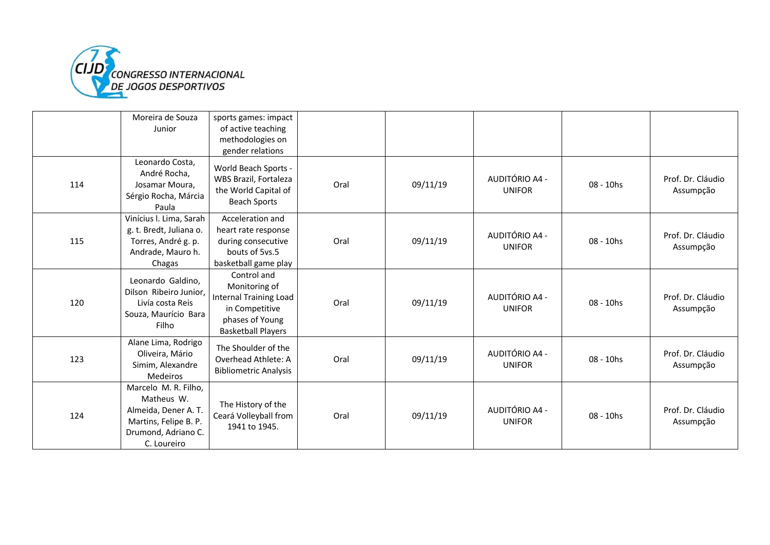

|     | Moreira de Souza<br>Junior                                                                                                | sports games: impact<br>of active teaching<br>methodologies on<br>gender relations                                       |      |          |                                 |              |                                |
|-----|---------------------------------------------------------------------------------------------------------------------------|--------------------------------------------------------------------------------------------------------------------------|------|----------|---------------------------------|--------------|--------------------------------|
| 114 | Leonardo Costa,<br>André Rocha,<br>Josamar Moura,<br>Sérgio Rocha, Márcia<br>Paula                                        | World Beach Sports -<br>WBS Brazil, Fortaleza<br>the World Capital of<br><b>Beach Sports</b>                             | Oral | 09/11/19 | AUDITÓRIO A4 -<br><b>UNIFOR</b> | 08 - 10hs    | Prof. Dr. Cláudio<br>Assumpção |
| 115 | Vinícius I. Lima, Sarah<br>g. t. Bredt, Juliana o.<br>Torres, André g. p.<br>Andrade, Mauro h.<br>Chagas                  | Acceleration and<br>heart rate response<br>during consecutive<br>bouts of 5vs.5<br>basketball game play                  | Oral | 09/11/19 | AUDITÓRIO A4 -<br><b>UNIFOR</b> | 08 - 10hs    | Prof. Dr. Cláudio<br>Assumpção |
| 120 | Leonardo Galdino,<br>Dilson Ribeiro Junior,<br>Livía costa Reis<br>Souza, Maurício Bara<br>Filho                          | Control and<br>Monitoring of<br>Internal Training Load<br>in Competitive<br>phases of Young<br><b>Basketball Players</b> | Oral | 09/11/19 | AUDITÓRIO A4 -<br><b>UNIFOR</b> | $08 - 10$ hs | Prof. Dr. Cláudio<br>Assumpção |
| 123 | Alane Lima, Rodrigo<br>Oliveira, Mário<br>Simim, Alexandre<br>Medeiros                                                    | The Shoulder of the<br>Overhead Athlete: A<br><b>Bibliometric Analysis</b>                                               | Oral | 09/11/19 | AUDITÓRIO A4 -<br><b>UNIFOR</b> | 08 - 10hs    | Prof. Dr. Cláudio<br>Assumpção |
| 124 | Marcelo M. R. Filho,<br>Matheus W.<br>Almeida, Dener A. T.<br>Martins, Felipe B. P.<br>Drumond, Adriano C.<br>C. Loureiro | The History of the<br>Ceará Volleyball from<br>1941 to 1945.                                                             | Oral | 09/11/19 | AUDITÓRIO A4 -<br><b>UNIFOR</b> | 08 - 10hs    | Prof. Dr. Cláudio<br>Assumpção |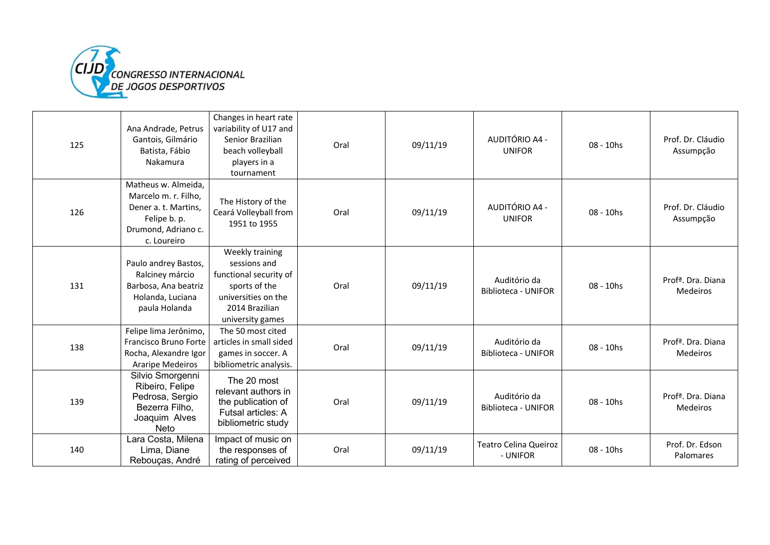

| 125 | Ana Andrade, Petrus<br>Gantois, Gilmário<br>Batista, Fábio<br>Nakamura                                                    | Changes in heart rate<br>variability of U17 and<br>Senior Brazilian<br>beach volleyball<br>players in a<br>tournament                   | Oral | 09/11/19 | AUDITÓRIO A4 -<br><b>UNIFOR</b>            | 08 - 10hs | Prof. Dr. Cláudio<br>Assumpção             |
|-----|---------------------------------------------------------------------------------------------------------------------------|-----------------------------------------------------------------------------------------------------------------------------------------|------|----------|--------------------------------------------|-----------|--------------------------------------------|
| 126 | Matheus w. Almeida,<br>Marcelo m. r. Filho,<br>Dener a. t. Martins.<br>Felipe b. p.<br>Drumond, Adriano c.<br>c. Loureiro | The History of the<br>Ceará Volleyball from<br>1951 to 1955                                                                             | Oral | 09/11/19 | AUDITÓRIO A4 -<br><b>UNIFOR</b>            | 08 - 10hs | Prof. Dr. Cláudio<br>Assumpção             |
| 131 | Paulo andrey Bastos,<br>Ralciney márcio<br>Barbosa, Ana beatriz<br>Holanda, Luciana<br>paula Holanda                      | Weekly training<br>sessions and<br>functional security of<br>sports of the<br>universities on the<br>2014 Brazilian<br>university games | Oral | 09/11/19 | Auditório da<br>Biblioteca - UNIFOR        | 08 - 10hs | Prof <sup>a</sup> . Dra. Diana<br>Medeiros |
| 138 | Felipe lima Jerônimo,<br>Francisco Bruno Forte<br>Rocha, Alexandre Igor<br>Araripe Medeiros                               | The 50 most cited<br>articles in small sided<br>games in soccer. A<br>bibliometric analysis.                                            | Oral | 09/11/19 | Auditório da<br><b>Biblioteca - UNIFOR</b> | 08 - 10hs | Prof <sup>a</sup> , Dra, Diana<br>Medeiros |
| 139 | Silvio Smorgenni<br>Ribeiro, Felipe<br>Pedrosa, Sergio<br>Bezerra Filho,<br>Joaquim Alves<br>Neto                         | The 20 most<br>relevant authors in<br>the publication of<br>Futsal articles: A<br>bibliometric study                                    | Oral | 09/11/19 | Auditório da<br><b>Biblioteca - UNIFOR</b> | 08 - 10hs | Profª, Dra. Diana<br>Medeiros              |
| 140 | Lara Costa, Milena<br>Lima, Diane<br>Rebouças, André                                                                      | Impact of music on<br>the responses of<br>rating of perceived                                                                           | Oral | 09/11/19 | <b>Teatro Celina Queiroz</b><br>- UNIFOR   | 08 - 10hs | Prof. Dr. Edson<br>Palomares               |